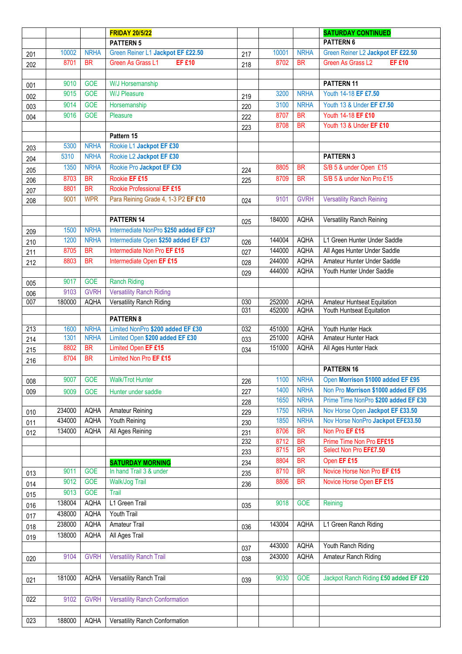|                  |              |                            | <b>FRIDAY 20/5/22</b>                                                |            |                  |                            | <b>SATURDAY CONTINUED</b>                |
|------------------|--------------|----------------------------|----------------------------------------------------------------------|------------|------------------|----------------------------|------------------------------------------|
|                  |              |                            | <b>PATTERN 5</b>                                                     |            |                  |                            | <b>PATTERN 6</b>                         |
| 201              | 10002        | <b>NRHA</b>                | Green Reiner L1 Jackpot EF £22.50                                    | 217        | 10001            | <b>NRHA</b>                | Green Reiner L2 Jackpot EF £22.50        |
| 202              | 8701         | <b>BR</b>                  | Green As Grass L1<br><b>EF £10</b>                                   | 218        | 8702             | <b>BR</b>                  | Green As Grass L2<br><b>EF £10</b>       |
|                  |              |                            |                                                                      |            |                  |                            |                                          |
| 001              | 9010         | <b>GOE</b>                 | W/J Horsemanship                                                     |            |                  |                            | PATTERN 11                               |
| 002              | 9015         | <b>GOE</b>                 | <b>W/J Pleasure</b>                                                  | 219        | 3200             | <b>NRHA</b>                | Youth 14-18 EF £7.50                     |
| 003              | 9014         | <b>GOE</b>                 | Horsemanship                                                         | 220        | 3100             | <b>NRHA</b>                | Youth 13 & Under EF £7.50                |
| 004              | 9016         | <b>GOE</b>                 | Pleasure                                                             | 222        | 8707             | <b>BR</b>                  | Youth 14-18 EF £10                       |
|                  |              |                            |                                                                      | 223        | 8708             | <b>BR</b>                  | Youth 13 & Under EF £10                  |
|                  |              |                            | Pattern 15                                                           |            |                  |                            |                                          |
| 203              | 5300         | <b>NRHA</b>                | Rookie L1 Jackpot EF £30                                             |            |                  |                            |                                          |
| 204              | 5310         | <b>NRHA</b>                | Rookie L2 Jackpot EF £30                                             |            |                  |                            | <b>PATTERN 3</b>                         |
| 205              | 1350         | <b>NRHA</b>                | Rookie Pro Jackpot EF £30                                            | 224        | 8805             | <b>BR</b>                  | S/B 5 & under Open £15                   |
| 206              | 8703         | <b>BR</b>                  | Rookie EF £15                                                        | 225        | 8709             | <b>BR</b>                  | S/B 5 & under Non Pro £15                |
| 207              | 8801         | <b>BR</b>                  | Rookie Professional EF £15                                           |            |                  |                            |                                          |
| 208              | 9001         | <b>WPR</b>                 | Para Reining Grade 4, 1-3 P2 EF £10                                  | 024        | 9101             | <b>GVRH</b>                | <b>Versatility Ranch Reining</b>         |
|                  |              |                            |                                                                      |            |                  |                            |                                          |
|                  |              |                            | <b>PATTERN 14</b>                                                    | 025        | 184000           | <b>AQHA</b>                | Versatility Ranch Reining                |
| 209              | 1500         | <b>NRHA</b>                | Intermediate NonPro \$250 added EF £37                               |            |                  |                            |                                          |
| 210              | 1200         | <b>NRHA</b>                | Intermediate Open \$250 added EF £37                                 | 026        | 144004           | <b>AQHA</b>                | L1 Green Hunter Under Saddle             |
| 211              | 8705         | BR                         | Intermediate Non Pro EF £15                                          | 027        | 144000           | <b>AQHA</b>                | All Ages Hunter Under Saddle             |
| 212              | 8803         | <b>BR</b>                  | Intermediate Open EF £15                                             | 028        | 244000           | <b>AQHA</b>                | Amateur Hunter Under Saddle              |
|                  |              |                            |                                                                      | 029        | 444000           | <b>AQHA</b>                | Youth Hunter Under Saddle                |
| 005              | 9017         | <b>GOE</b>                 | <b>Ranch Riding</b>                                                  |            |                  |                            |                                          |
| 006              | 9103         | <b>GVRH</b>                | <b>Versatility Ranch Riding</b>                                      |            |                  |                            |                                          |
| 007              | 180000       | <b>AQHA</b>                | Versatility Ranch Riding                                             | 030        | 252000           | <b>AQHA</b>                | Amateur Huntseat Equitation              |
|                  |              |                            |                                                                      | 031        | 452000           | <b>AQHA</b>                | Youth Huntseat Equitation                |
|                  |              |                            | <b>PATTERN 8</b>                                                     |            |                  |                            |                                          |
| $\overline{213}$ | 1600<br>1301 | <b>NRHA</b><br><b>NRHA</b> | Limited NonPro \$200 added EF £30<br>Limited Open \$200 added EF £30 | 032        | 451000<br>251000 | <b>AQHA</b><br><b>AQHA</b> | Youth Hunter Hack<br>Amateur Hunter Hack |
| 214              | 8802         | <b>BR</b>                  | Limited Open EF £15                                                  | 033        | 151000           | <b>AQHA</b>                | All Ages Hunter Hack                     |
| 215              | 8704         | <b>BR</b>                  | Limited Non Pro EF £15                                               | 034        |                  |                            |                                          |
| 216              |              |                            |                                                                      |            |                  |                            | PATTERN 16                               |
|                  | 9007         | <b>GOE</b>                 | <b>Walk/Trot Hunter</b>                                              |            | 1100             | <b>NRHA</b>                | Open Morrison \$1000 added EF £95        |
| 008              |              |                            |                                                                      | 226        | 1400             | <b>NRHA</b>                | Non Pro Morrison \$1000 added EF £95     |
| 009              | 9009         | <b>GOE</b>                 | Hunter under saddle                                                  | 227        | 1650             | <b>NRHA</b>                | Prime Time NonPro \$200 added EF £30     |
| 010              | 234000       | <b>AQHA</b>                | Amateur Reining                                                      | 228<br>229 | 1750             | <b>NRHA</b>                | Nov Horse Open Jackpot EF £33.50         |
| 011              | 434000       | <b>AQHA</b>                | Youth Reining                                                        | 230        | 1850             | <b>NRHA</b>                | Nov Horse NonPro Jackpot EF£33.50        |
| 012              | 134000       | <b>AQHA</b>                | All Ages Reining                                                     | 231        | 8706             | <b>BR</b>                  | Non Pro EF £15                           |
|                  |              |                            |                                                                      | 232        | 8712             | <b>BR</b>                  | Prime Time Non Pro EF£15                 |
|                  |              |                            |                                                                      | 233        | 8715             | <b>BR</b>                  | Select Non Pro EF£7.50                   |
|                  |              |                            | <b>SATURDAY MORNING</b>                                              | 234        | 8804             | <b>BR</b>                  | Open EF £15                              |
| 013              | 9011         | <b>GOE</b>                 | In hand Trail 3 & under                                              | 235        | 8710             | <b>BR</b>                  | Novice Horse Non Pro EF £15              |
| 014              | 9012         | <b>GOE</b>                 | <b>Walk/Jog Trail</b>                                                | 236        | 8806             | <b>BR</b>                  | Novice Horse Open EF £15                 |
| 015              | 9013         | <b>GOE</b>                 | Trail                                                                |            |                  |                            |                                          |
| 016              | 138004       | <b>AQHA</b>                | L1 Green Trail                                                       | 035        | 9018             | <b>GOE</b>                 | Reining                                  |
| 017              | 438000       | <b>AQHA</b>                | <b>Youth Trail</b>                                                   |            |                  |                            |                                          |
| 018              | 238000       | <b>AQHA</b>                | <b>Amateur Trail</b>                                                 | 036        | 143004           | AQHA                       | L1 Green Ranch Riding                    |
| 019              | 138000       | <b>AQHA</b>                | All Ages Trail                                                       |            |                  |                            |                                          |
|                  |              |                            |                                                                      | 037        | 443000           | AQHA                       | Youth Ranch Riding                       |
| 020              | 9104         | <b>GVRH</b>                | <b>Versatility Ranch Trail</b>                                       | 038        | 243000           | <b>AQHA</b>                | Amateur Ranch Riding                     |
|                  |              |                            |                                                                      |            |                  |                            |                                          |
| 021              | 181000       | <b>AQHA</b>                | Versatility Ranch Trail                                              | 039        | 9030             | <b>GOE</b>                 | Jackpot Ranch Riding £50 added EF £20    |
|                  |              |                            |                                                                      |            |                  |                            |                                          |
| $\overline{022}$ | 9102         | <b>GVRH</b>                | <b>Versatility Ranch Conformation</b>                                |            |                  |                            |                                          |
|                  |              |                            |                                                                      |            |                  |                            |                                          |
| 023              | 188000       | AQHA                       | Versatility Ranch Conformation                                       |            |                  |                            |                                          |
|                  |              |                            |                                                                      |            |                  |                            |                                          |